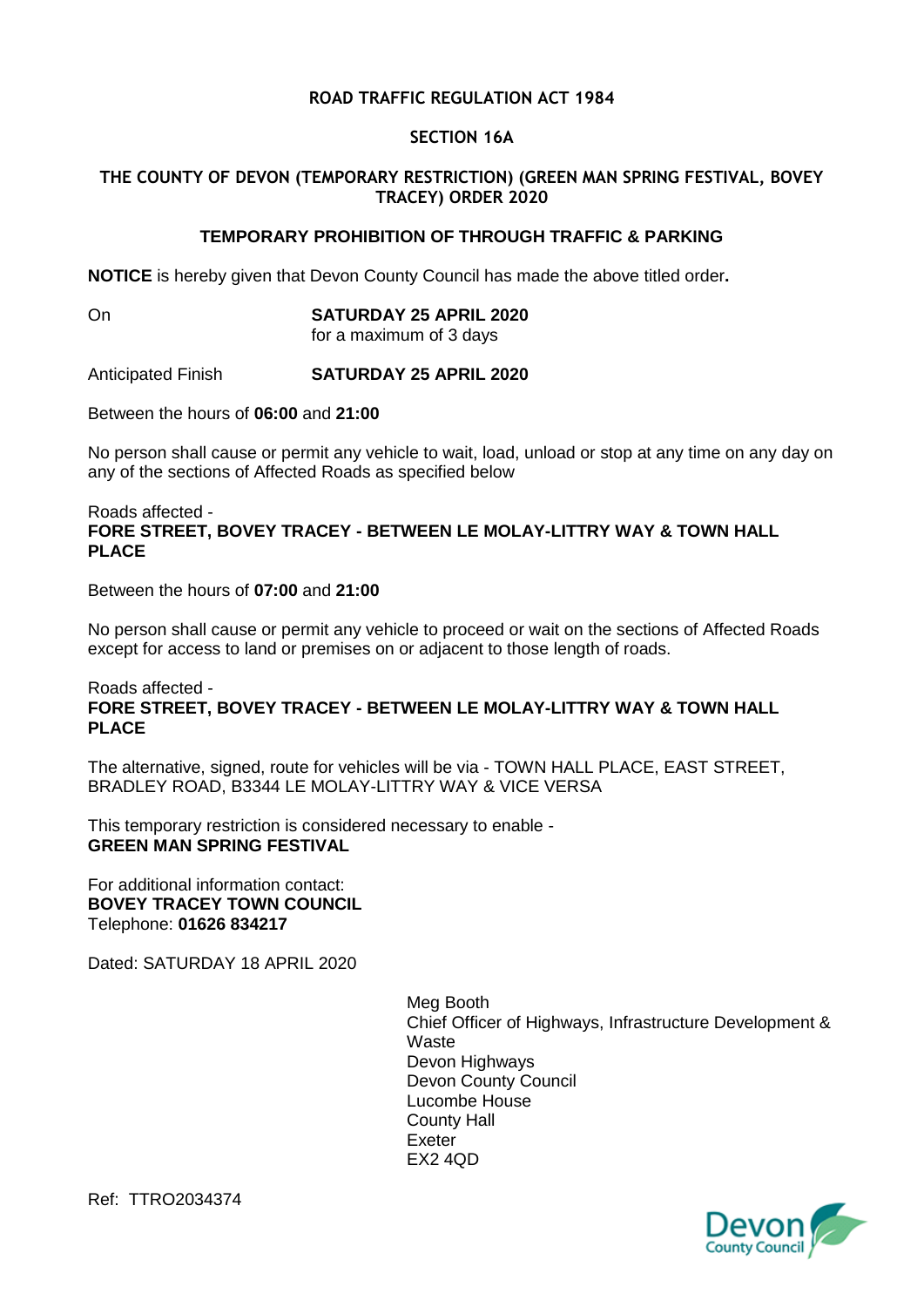## **ROAD TRAFFIC REGULATION ACT 1984**

#### **SECTION 16A**

## **THE COUNTY OF DEVON (TEMPORARY RESTRICTION) (GREEN MAN SPRING FESTIVAL, BOVEY TRACEY) ORDER 2020**

# **TEMPORARY PROHIBITION OF THROUGH TRAFFIC & PARKING**

**NOTICE** is hereby given that Devon County Council has made the above titled order**.**

## On **SATURDAY 25 APRIL 2020**

for a maximum of 3 days

Anticipated Finish **SATURDAY 25 APRIL 2020**

Between the hours of **06:00** and **21:00**

No person shall cause or permit any vehicle to wait, load, unload or stop at any time on any day on any of the sections of Affected Roads as specified below

#### Roads affected - **FORE STREET, BOVEY TRACEY - BETWEEN LE MOLAY-LITTRY WAY & TOWN HALL PLACE**

Between the hours of **07:00** and **21:00**

No person shall cause or permit any vehicle to proceed or wait on the sections of Affected Roads except for access to land or premises on or adjacent to those length of roads.

#### Roads affected - **FORE STREET, BOVEY TRACEY - BETWEEN LE MOLAY-LITTRY WAY & TOWN HALL PLACE**

The alternative, signed, route for vehicles will be via - TOWN HALL PLACE, EAST STREET, BRADLEY ROAD, B3344 LE MOLAY-LITTRY WAY & VICE VERSA

This temporary restriction is considered necessary to enable - **GREEN MAN SPRING FESTIVAL**

For additional information contact: **BOVEY TRACEY TOWN COUNCIL** Telephone: **01626 834217**

Dated: SATURDAY 18 APRIL 2020

Meg Booth Chief Officer of Highways, Infrastructure Development & **Waste** Devon Highways Devon County Council Lucombe House County Hall Exeter EX2 4QD